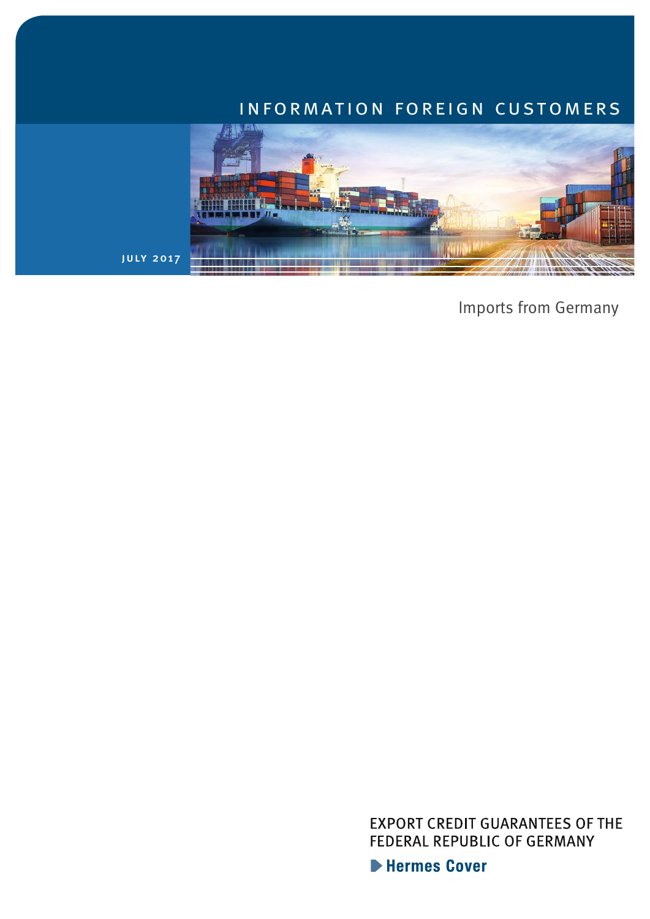## information foreign customers



Imports from Germany

**EXPORT CREDIT GUARANTEES OF THE** FEDERAL REPUBLIC OF GERMANY

Hermes Cover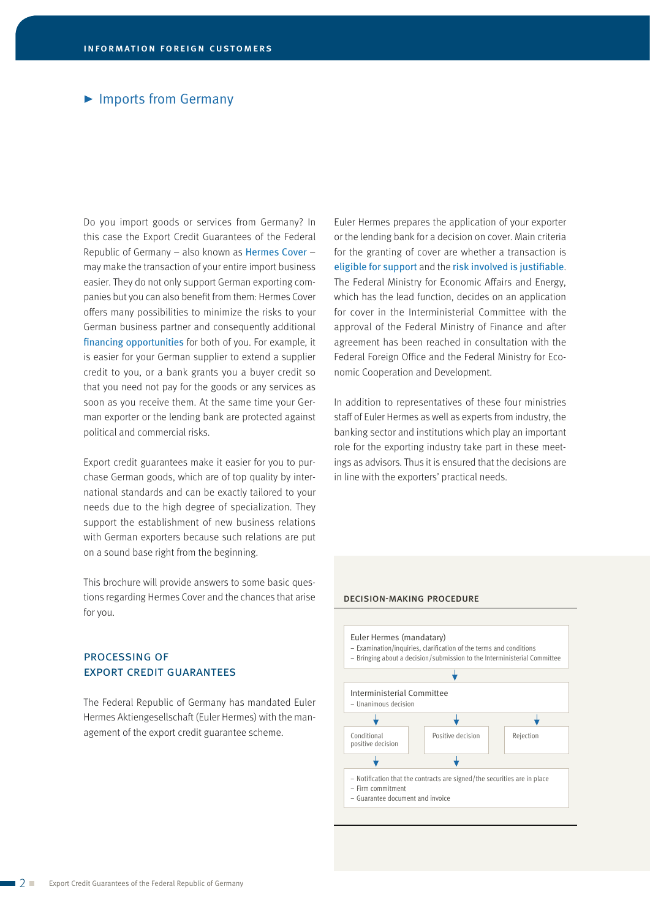#### ▶ Imports from Germany

Do you import goods or services from Germany? In this case the Export Credit Guarantees of the Federal Republic of Germany – also known as Hermes Cover – may make the transaction of your entire import business easier. They do not only support German exporting companies but you can also benefit from them: Hermes Cover offers many possibilities to minimize the risks to your German business partner and consequently additional financing opportunities for both of you. For example, it is easier for your German supplier to extend a supplier credit to you, or a bank grants you a buyer credit so that you need not pay for the goods or any services as soon as you receive them. At the same time your German exporter or the lending bank are protected against political and commercial risks.

Export credit guarantees make it easier for you to purchase German goods, which are of top quality by international standards and can be exactly tailored to your needs due to the high degree of specialization. They support the establishment of new business relations with German exporters because such relations are put on a sound base right from the beginning.

This brochure will provide answers to some basic questions regarding Hermes Cover and the chances that arise for you.

#### processing of export credit guarantees

The Federal Republic of Germany has mandated Euler Hermes Aktiengesellschaft (Euler Hermes) with the management of the export credit guarantee scheme.

Euler Hermes prepares the application of your exporter or the lending bank for a decision on cover. Main criteria for the granting of cover are whether a transaction is eligible for support and the risk involved is justifiable. The Federal Ministry for Economic Affairs and Energy, which has the lead function, decides on an application for cover in the Interministerial Committee with the approval of the Federal Ministry of Finance and after agreement has been reached in consultation with the Federal Foreign Office and the Federal Ministry for Economic Cooperation and Development.

In addition to representatives of these four ministries staff of Euler Hermes as well as experts from industry, the banking sector and institutions which play an important role for the exporting industry take part in these meetings as advisors. Thus it is ensured that the decisions are in line with the exporters' practical needs.

#### decision-making procedure

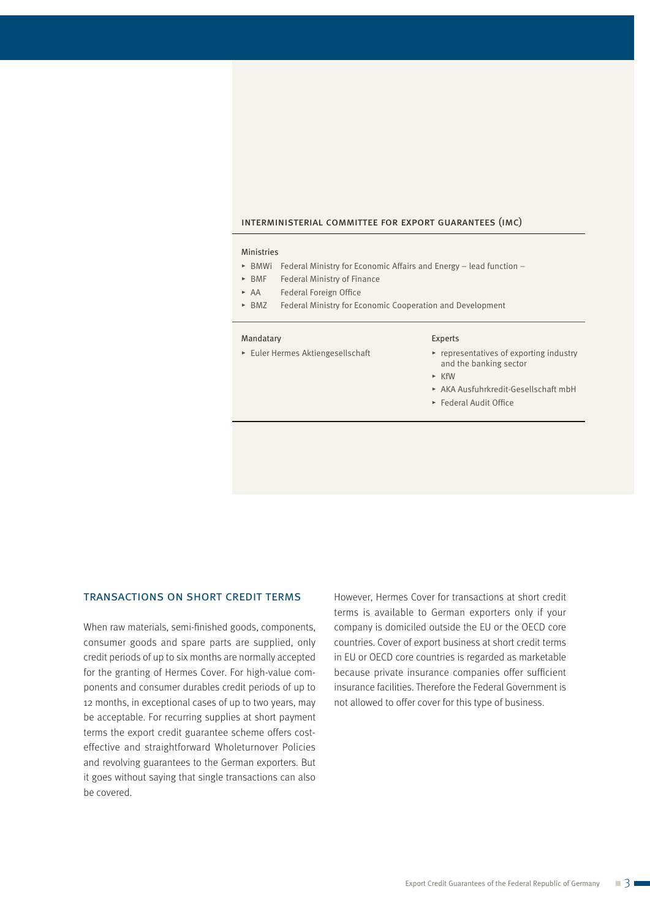#### interministerial committee for export guarantees (imc)

#### Ministries

- $\triangleright$  BMWi Federal Ministry for Economic Affairs and Energy lead function –
- $\triangleright$  BMF Federal Ministry of Finance
- ► AA Federal Foreign Office
- ► BMZ Federal Ministry for Economic Cooperation and Development

#### Mandatary

 $\blacktriangleright$  Euler Hermes Aktiengesellschaft

#### Experts

- $\blacktriangleright$  representatives of exporting industry and the banking sector
- $\triangleright$  KfW
- @ AKA Ausfuhrkredit-Gesellschaft mbH
- $\blacktriangleright$  Federal Audit Office

#### transactions on short credit terms

When raw materials, semi-finished goods, components, consumer goods and spare parts are supplied, only credit periods of up to six months are normally accepted for the granting of Hermes Cover. For high-value components and consumer durables credit periods of up to 12 months, in exceptional cases of up to two years, may be acceptable. For recurring supplies at short payment terms the export credit guarantee scheme offers costeffective and straightforward Wholeturnover Policies and revolving guarantees to the German exporters. But it goes without saying that single transactions can also be covered.

However, Hermes Cover for transactions at short credit terms is available to German exporters only if your company is domiciled outside the EU or the OECD core countries. Cover of export business at short credit terms in EU or OECD core countries is regarded as marketable because private insurance companies offer sufficient insurance facilities. Therefore the Federal Government is not allowed to offer cover for this type of business.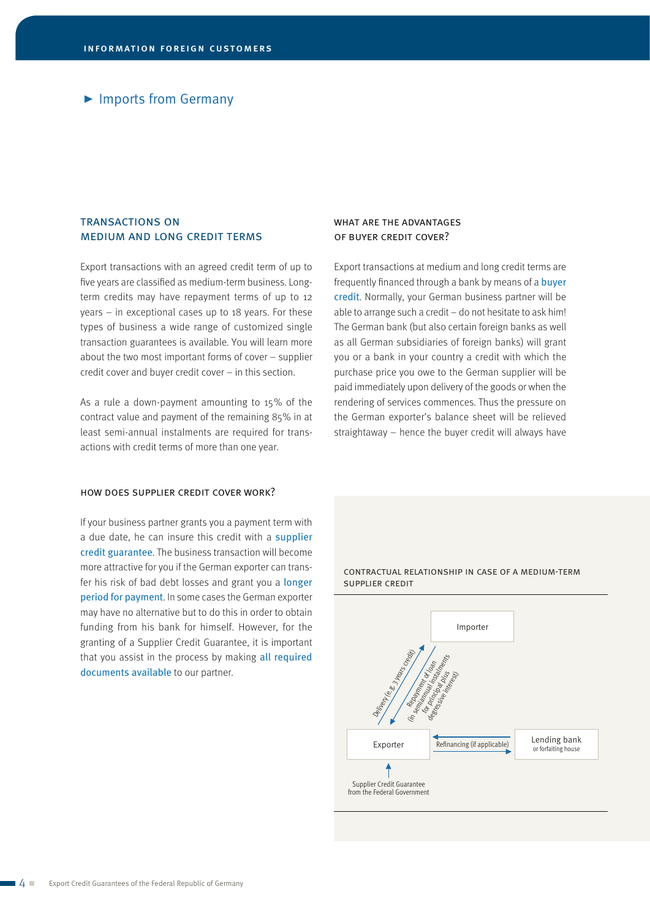## ▶ Imports from Germany

## transactions on medium and long credit terms

Export transactions with an agreed credit term of up to five years are classified as medium-term business. Longterm credits may have repayment terms of up to 12 years – in exceptional cases up to 18 years. For these types of business a wide range of customized single transaction guarantees is available. You will learn more about the two most important forms of cover – supplier credit cover and buyer credit cover – in this section.

As a rule a down-payment amounting to 15% of the contract value and payment of the remaining 85% in at least semi-annual instalments are required for transactions with credit terms of more than one year.

#### how does supplier credit cover work?

If your business partner grants you a payment term with a due date, he can insure this credit with a supplier credit guarantee. The business transaction will become more attractive for you if the German exporter can transfer his risk of bad debt losses and grant you a longer period for payment. In some cases the German exporter may have no alternative but to do this in order to obtain funding from his bank for himself. However, for the granting of a Supplier Credit Guarantee, it is important that you assist in the process by making all required documents available to our partner.

#### WHAT ARE THE ADVANTAGES of buyer credit cover?

Export transactions at medium and long credit terms are frequently financed through a bank by means of a buyer credit. Normally, your German business partner will be able to arrange such a credit – do not hesitate to ask him! The German bank (but also certain foreign banks as well as all German subsidiaries of foreign banks) will grant you or a bank in your country a credit with which the purchase price you owe to the German supplier will be paid immediately upon delivery of the goods or when the rendering of services commences. Thus the pressure on the German exporter's balance sheet will be relieved straightaway – hence the buyer credit will always have



contractual relationship in case of a medium-term supplier credit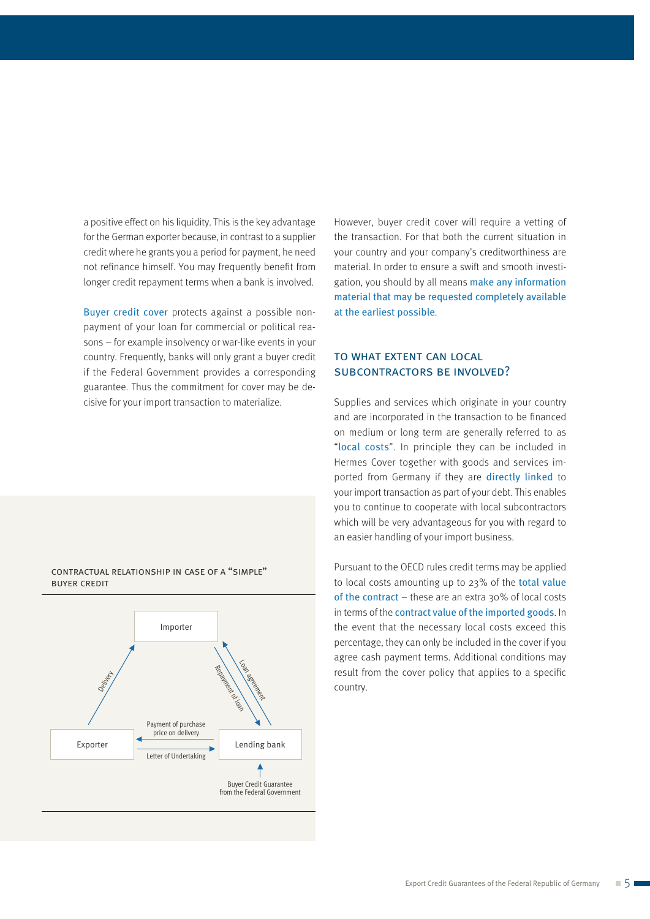a positive effect on his liquidity. This is the key advantage for the German exporter because, in contrast to a supplier credit where he grants you a period for payment, he need not refinance himself. You may frequently benefit from longer credit repayment terms when a bank is involved.

Buyer credit cover protects against a possible nonpayment of your loan for commercial or political reasons – for example insolvency or war-like events in your country. Frequently, banks will only grant a buyer credit if the Federal Government provides a corresponding guarantee. Thus the commitment for cover may be decisive for your import transaction to materialize.

Exporter Importer Lending bank Payment of purchase price on delivery Buyer Credit Guarantee from the Federal Government Letter of Undertaking Loan agreement Repayment of load Devi<sub>llen</sub>en

contractual relationship in case of a "simple"

buyer credit

However, buyer credit cover will require a vetting of the transaction. For that both the current situation in your country and your company's creditworthiness are material. In order to ensure a swift and smooth investigation, you should by all means make any information material that may be requested completely available at the earliest possible.

## to what extent can local subcontractors be involved?

Supplies and services which originate in your country and are incorporated in the transaction to be financed on medium or long term are generally referred to as "local costs". In principle they can be included in Hermes Cover together with goods and services imported from Germany if they are directly linked to your import transaction as part of your debt. This enables you to continue to cooperate with local subcontractors which will be very advantageous for you with regard to an easier handling of your import business.

Pursuant to the OECD rules credit terms may be applied to local costs amounting up to 23% of the total value of the contract – these are an extra 30% of local costs in terms of the contract value of the imported goods. In the event that the necessary local costs exceed this percentage, they can only be included in the cover if you agree cash payment terms. Additional conditions may result from the cover policy that applies to a specific country.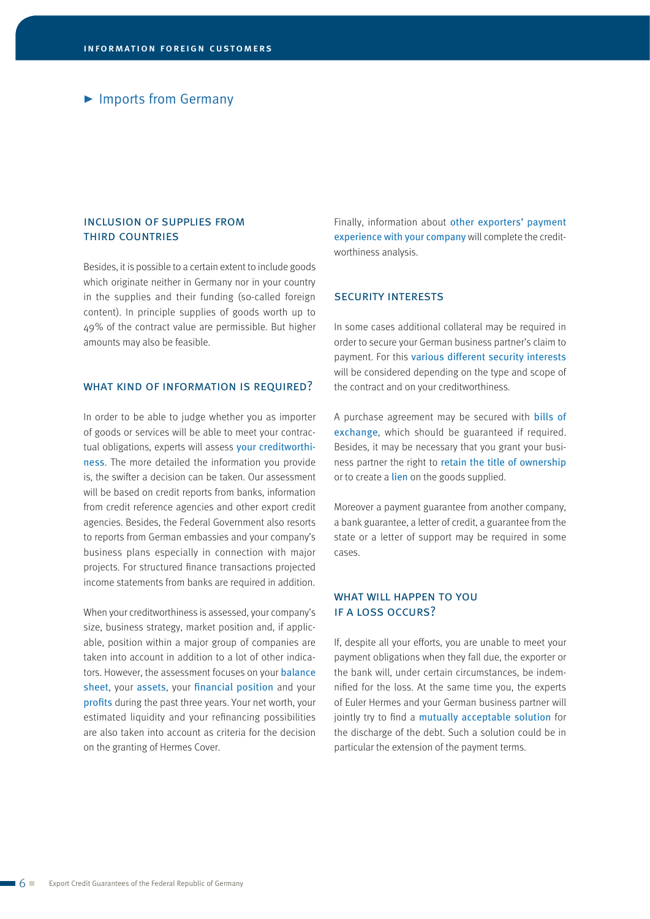## ▶ Imports from Germany

## inclusion of supplies from third countries

Besides, it is possible to a certain extent to include goods which originate neither in Germany nor in your country in the supplies and their funding (so-called foreign content). In principle supplies of goods worth up to 49% of the contract value are permissible. But higher amounts may also be feasible.

#### WHAT KIND OF INFORMATION IS REQUIRED?

In order to be able to judge whether you as importer of goods or services will be able to meet your contractual obligations, experts will assess your creditworthiness. The more detailed the information you provide is, the swifter a decision can be taken. Our assessment will be based on credit reports from banks, information from credit reference agencies and other export credit agencies. Besides, the Federal Government also resorts to reports from German embassies and your company's business plans especially in connection with major projects. For structured finance transactions projected income statements from banks are required in addition.

When your creditworthiness is assessed, your company's size, business strategy, market position and, if applicable, position within a major group of companies are taken into account in addition to a lot of other indicators. However, the assessment focuses on your **balance** sheet, your assets, your financial position and your profits during the past three years. Your net worth, your estimated liquidity and your refinancing possibilities are also taken into account as criteria for the decision on the granting of Hermes Cover.

Finally, information about other exporters' payment experience with your company will complete the creditworthiness analysis.

#### security interests

In some cases additional collateral may be required in order to secure your German business partner's claim to payment. For this various different security interests will be considered depending on the type and scope of the contract and on your creditworthiness.

A purchase agreement may be secured with bills of exchange, which should be guaranteed if required. Besides, it may be necessary that you grant your business partner the right to retain the title of ownership or to create a lien on the goods supplied.

Moreover a payment guarantee from another company, a bank guarantee, a letter of credit, a guarantee from the state or a letter of support may be required in some cases.

#### WHAT WILL HAPPEN TO YOU if a loss occurs?

If, despite all your efforts, you are unable to meet your payment obligations when they fall due, the exporter or the bank will, under certain circumstances, be indemnified for the loss. At the same time you, the experts of Euler Hermes and your German business partner will jointly try to find a mutually acceptable solution for the discharge of the debt. Such a solution could be in particular the extension of the payment terms.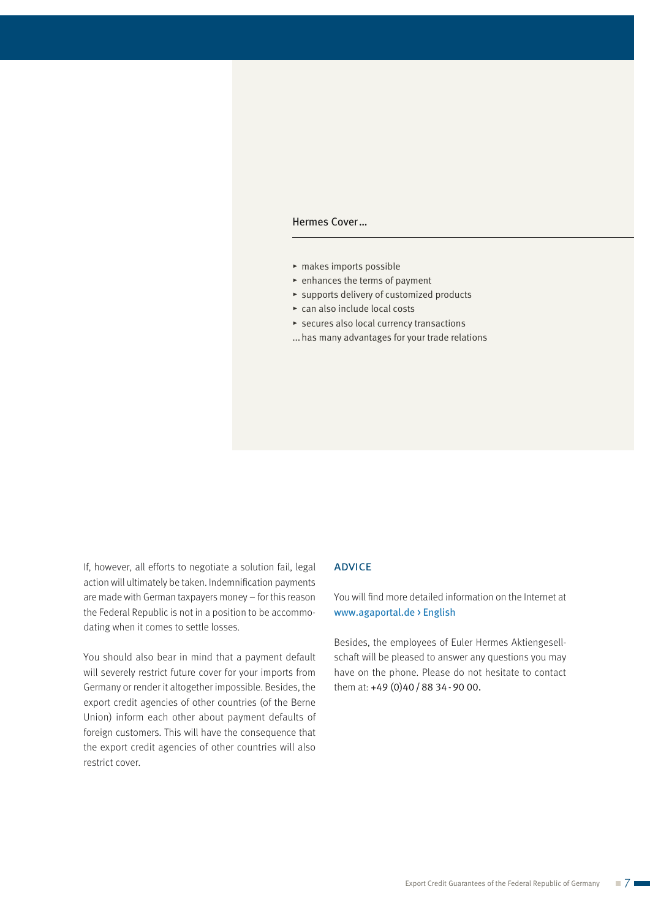#### Hermes Cover…

- $\blacktriangleright$  makes imports possible
- $\blacktriangleright$  enhances the terms of payment
- $\triangleright$  supports delivery of customized products
- $\triangleright$  can also include local costs
- $\blacktriangleright$  secures also local currency transactions
- ...has many advantages for your trade relations

If, however, all efforts to negotiate a solution fail, legal action will ultimately be taken. Indemnification payments are made with German taxpayers money – for this reason the Federal Republic is not in a position to be accommodating when it comes to settle losses.

You should also bear in mind that a payment default will severely restrict future cover for your imports from Germany or render it altogether impossible. Besides, the export credit agencies of other countries (of the Berne Union) inform each other about payment defaults of foreign customers. This will have the consequence that the export credit agencies of other countries will also restrict cover.

### **ADVICE**

You will find more detailed information on the Internet at www.agaportal.de > English

Besides, the employees of Euler Hermes Aktiengesellschaft will be pleased to answer any questions you may have on the phone. Please do not hesitate to contact them at: +49 (0)40/88 34-90 00.